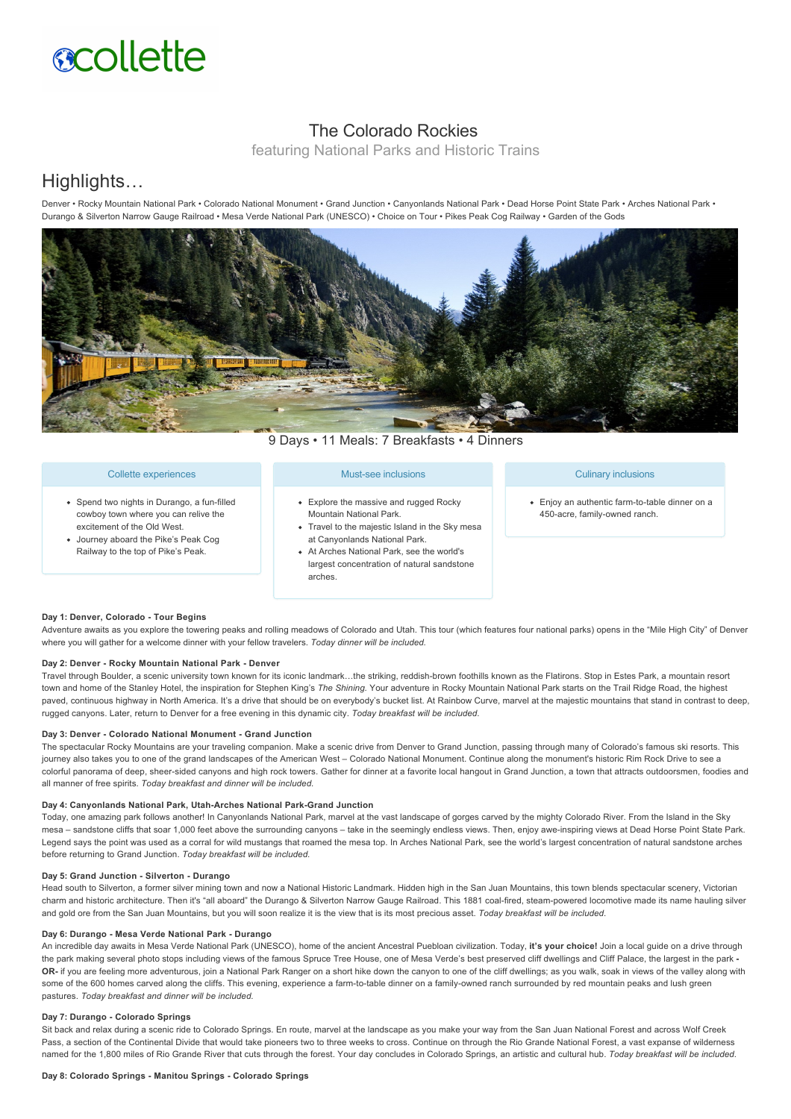# **acollette**

## The Colorado Rockies

featuring National Parks and Historic Trains

## Highlights…

Denver • Rocky Mountain National Park • Colorado National Monument • Grand Junction • Canyonlands National Park • Dead Horse Point State Park • Arches National Park • Durango & Silverton Narrow Gauge Railroad • Mesa Verde National Park (UNESCO) • Choice on Tour • Pikes Peak Cog Railway • Garden of the Gods



9 Days • 11 Meals: 7 Breakfasts • 4 Dinners

#### Collette experiences

- Spend two nights in Durango, a fun-filled cowboy town where you can relive the excitement of the Old West.
- Journey aboard the Pike's Peak Cog Railway to the top of Pike's Peak.

#### Must-see inclusions

- Explore the massive and rugged Rocky Mountain National Park.
- Travel to the majestic Island in the Sky mesa at Canyonlands National Park.
- At Arches National Park, see the world's largest concentration of natural sandstone arches.

#### Culinary inclusions

• Enjoy an authentic farm-to-table dinner on a 450-acre, family-owned ranch.

#### Day 1: Denver, Colorado - Tour Begins

Adventure awaits as you explore the towering peaks and rolling meadows of Colorado and Utah. This tour (which features four national parks) opens in the "Mile High City" of Denver where you will gather for a welcome dinner with your fellow travelers. *Today dinner will be included.*

#### Day 2: Denver - Rocky Mountain National Park - Denver

Travel through Boulder, a scenic university town known for its iconic landmark…the striking, reddish-brown foothills known as the Flatirons. Stop in Estes Park, a mountain resort town and home of the Stanley Hotel, the inspiration for Stephen King's *The Shining.* Your adventure in Rocky Mountain National Park starts on the Trail Ridge Road, the highest paved, continuous highway in North America. It's a drive that should be on everybody's bucket list. At Rainbow Curve, marvel at the majestic mountains that stand in contrast to deep, rugged canyons. Later, return to Denver for a free evening in this dynamic city. *Today breakfast will be included.*

#### **Day 3: Denver Colorado National Monument Grand Junction**

The spectacular Rocky Mountains are your traveling companion. Make a scenic drive from Denver to Grand Junction, passing through many of Colorado's famous ski resorts. This journey also takes you to one of the grand landscapes of the American West – Colorado National Monument. Continue along the monument's historic Rim Rock Drive to see a colorful panorama of deep, sheersided canyons and high rock towers. Gather for dinner at a favorite local hangout in Grand Junction, a town that attracts outdoorsmen, foodies and all manner of free spirits. *Today breakfast and dinner will be included.*

#### Day 4: Canyonlands National Park, Utah-Arches National Park-Grand Junction

Today, one amazing park follows another! In Canyonlands National Park, marvel at the vast landscape of gorges carved by the mighty Colorado River. From the Island in the Sky mesa - sandstone cliffs that soar 1,000 feet above the surrounding canyons - take in the seemingly endless views. Then, enjoy awe-inspiring views at Dead Horse Point State Park. Legend says the point was used as a corral for wild mustangs that roamed the mesa top. In Arches National Park, see the world's largest concentration of natural sandstone arches before returning to Grand Junction. *Today breakfast will be included.*

#### Day 5: Grand Junction - Silverton - Durango

Head south to Silverton, a former silver mining town and now a National Historic Landmark. Hidden high in the San Juan Mountains, this town blends spectacular scenery, Victorian charm and historic architecture. Then it's "all aboard" the Durango & Silverton Narrow Gauge Railroad. This 1881 coal-fired, steam-powered locomotive made its name hauling silver and gold ore from the San Juan Mountains, but you will soon realize it is the view that is its most precious asset. *Today breakfast will be included.*

#### Day 6: Durango - Mesa Verde National Park - Durango

An incredible day awaits in Mesa Verde National Park (UNESCO), home of the ancient Ancestral Puebloan civilization. Today, **it's your choice!** Join a local guide on a drive through the park making several photo stops including views of the famous Spruce Tree House, one of Mesa Verde's best preserved cliff dwellings and Cliff Palace, the largest in the park -OR- if you are feeling more adventurous, join a National Park Ranger on a short hike down the canyon to one of the cliff dwellings; as you walk, soak in views of the valley along with some of the 600 homes carved along the cliffs. This evening, experience a farm-to-table dinner on a family-owned ranch surrounded by red mountain peaks and lush green pastures. *Today breakfast and dinner will be included.*

#### **Day 7: Durango Colorado Springs**

Sit back and relax during a scenic ride to Colorado Springs. En route, marvel at the landscape as you make your way from the San Juan National Forest and across Wolf Creek Pass, a section of the Continental Divide that would take pioneers two to three weeks to cross. Continue on through the Rio Grande National Forest, a vast expanse of wilderness named for the 1,800 miles of Rio Grande River that cuts through the forest. Your day concludes in Colorado Springs, an artistic and cultural hub. *Today breakfast will be included.*

#### **Day 8: Colorado Springs Manitou Springs Colorado Springs**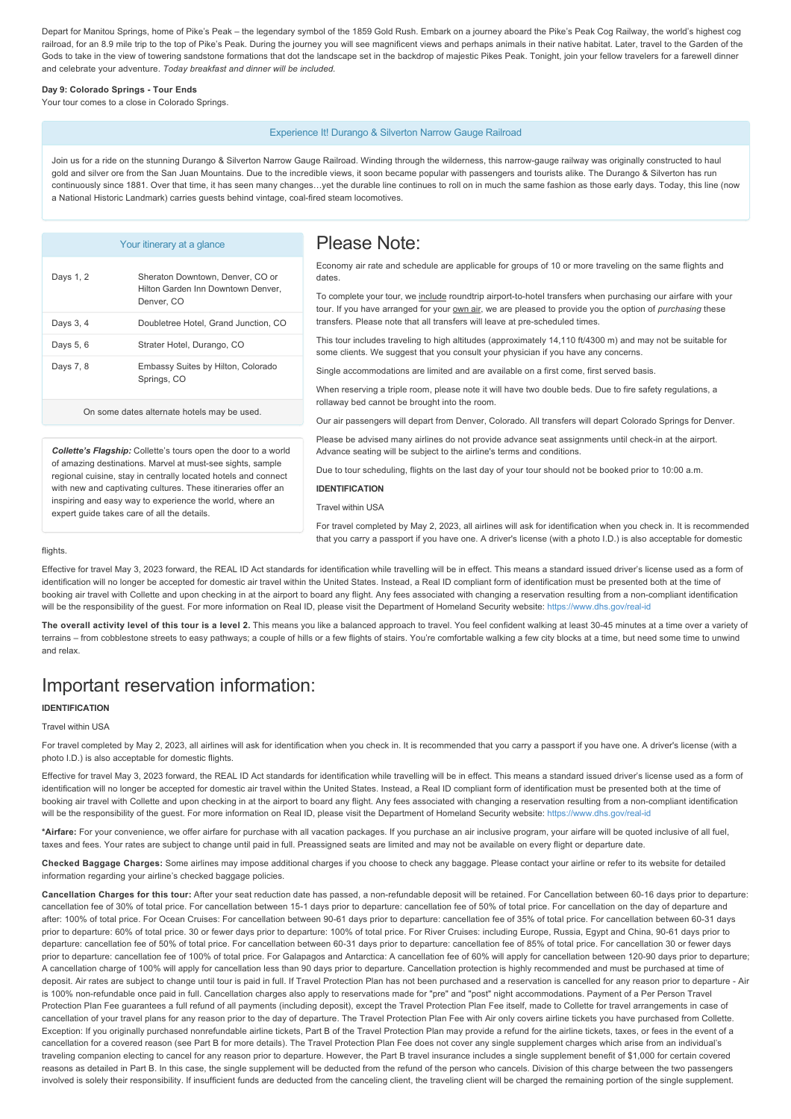Depart for Manitou Springs, home of Pike's Peak – the legendary symbol of the 1859 Gold Rush. Embark on a journey aboard the Pike's Peak Cog Railway, the world's highest cog railroad, for an 8.9 mile trip to the top of Pike's Peak. During the journey you will see magnificent views and perhaps animals in their native habitat. Later, travel to the Garden of the Gods to take in the view of towering sandstone formations that dot the landscape set in the backdrop of majestic Pikes Peak. Tonight, join your fellow travelers for a farewell dinner and celebrate your adventure. *Today breakfast and dinner will be included.*

#### Day 9: Colorado Springs - Tour Ends

Your tour comes to a close in Colorado Springs.

#### Experience It! Durango & Silverton Narrow Gauge Railroad

Join us for a ride on the stunning Durango & Silverton Narrow Gauge Railroad. Winding through the wilderness, this narrow-gauge railway was originally constructed to haul gold and silver ore from the San Juan Mountains. Due to the incredible views, it soon became popular with passengers and tourists alike. The Durango & Silverton has run continuously since 1881. Over that time, it has seen many changes...yet the durable line continues to roll on in much the same fashion as those early days. Today, this line (now a National Historic Landmark) carries guests behind vintage, coal-fired steam locomotives.

| Days 1, 2 | Sheraton Downtown, Denver, CO or<br>Hilton Garden Inn Downtown Denver.<br>Denver, CO |
|-----------|--------------------------------------------------------------------------------------|
| Days 3, 4 | Doubletree Hotel, Grand Junction, CO                                                 |
| Days 5, 6 | Strater Hotel, Durango, CO                                                           |
| Days 7, 8 | Embassy Suites by Hilton, Colorado<br>Springs, CO                                    |

Your itinerary at a glance

## Please Note:

Economy air rate and schedule are applicable for groups of 10 or more traveling on the same flights and dates.

To complete your tour, we include roundtrip airport-to-hotel transfers when purchasing our airfare with your tour. If you have arranged for your **own air**, we are pleased to provide you the option of *purchasing* these transfers. Please note that all transfers will leave at pre-scheduled times.

This tour includes traveling to high altitudes (approximately 14,110 ft/4300 m) and may not be suitable for some clients. We suggest that you consult your physician if you have any concerns.

Single accommodations are limited and are available on a first come, first served basis.

Advance seating will be subject to the airline's terms and conditions.

When reserving a triple room, please note it will have two double beds. Due to fire safety regulations, a rollaway bed cannot be brought into the room.

Please be advised many airlines do not provide advance seat assignments until check-in at the airport.

On some dates alternate hotels may be used. Our air passengers will depart from Denver, Colorado. All transfers will depart Colorado Springs for Denver.

*Collette's Flagship:* Collette's tours open the door to a world of amazing destinations. Marvel at must-see sights, sample regional cuisine, stay in centrally located hotels and connect with new and captivating cultures. These itineraries offer an inspiring and easy way to experience the world, where an expert guide takes care of all the details.

Due to tour scheduling, flights on the last day of your tour should not be booked prior to 10:00 a.m.

## **IDENTIFICATION**

Travel within USA

For travel completed by May 2, 2023, all airlines will ask for identification when you check in. It is recommended that you carry a passport if you have one. A driver's license (with a photo I.D.) is also acceptable for domestic

#### flights

Effective for travel May 3, 2023 forward, the REAL ID Act standards for identification while travelling will be in effect. This means a standard issued driver's license used as a form of identification will no longer be accepted for domestic air travel within the United States. Instead, a Real ID compliant form of identification must be presented both at the time of booking air travel with Collette and upon checking in at the airport to board any flight. Any fees associated with changing a reservation resulting from a non-compliant identification will be the responsibility of the guest. For more information on Real ID, please visit the Department of Homeland Security website: https://www.dhs.gov/real-id

The overall activity level of this tour is a level 2. This means you like a balanced approach to travel. You feel confident walking at least 30-45 minutes at a time over a variety of terrains – from cobblestone streets to easy pathways; a couple of hills or a few flights of stairs. You're comfortable walking a few city blocks at a time, but need some time to unwind and relax.

# Important reservation information:

## **IDENTIFICATION**

### Travel within USA

For travel completed by May 2, 2023, all airlines will ask for identification when you check in. It is recommended that you carry a passport if you have one. A driver's license (with a photo I.D.) is also acceptable for domestic flights.

Effective for travel May 3, 2023 forward, the REAL ID Act standards for identification while travelling will be in effect. This means a standard issued driver's license used as a form of identification will no longer be accepted for domestic air travel within the United States. Instead, a Real ID compliant form of identification must be presented both at the time of booking air travel with Collette and upon checking in at the airport to board any flight. Any fees associated with changing a reservation resulting from a non-compliant identification will be the responsibility of the quest. For more information on Real ID, please visit the Department of Homeland Security website: https://www.dhs.gov/real-id

**\*Airfare:** For your convenience, we offer airfare for purchase with all vacation packages. If you purchase an air inclusive program, your airfare will be quoted inclusive of all fuel, taxes and fees. Your rates are subject to change until paid in full. Preassigned seats are limited and may not be available on every flight or departure date.

**Checked Baggage Charges:** Some airlines may impose additional charges if you choose to check any baggage. Please contact your airline or refer to its website for detailed information regarding your airline's checked baggage policies.

**Cancellation Charges for this tour:** After your seat reduction date has passed, a nonrefundable deposit will be retained. For Cancellation between 6016 days prior to departure: cancellation fee of 30% of total price. For cancellation between 15-1 days prior to departure: cancellation fee of 50% of total price. For cancellation on the day of departure and after: 100% of total price. For Ocean Cruises: For cancellation between 9061 days prior to departure: cancellation fee of 35% of total price. For cancellation between 6031 days prior to departure: 60% of total price. 30 or fewer days prior to departure: 100% of total price. For River Cruises: including Europe, Russia, Egypt and China, 90-61 days prior to departure: cancellation fee of 50% of total price. For cancellation between 60-31 days prior to departure: cancellation fee of 85% of total price. For cancellation 30 or fewer days prior to departure: cancellation fee of 100% of total price. For Galapagos and Antarctica: A cancellation fee of 60% will apply for cancellation between 120-90 days prior to departure; A cancellation charge of 100% will apply for cancellation less than 90 days prior to departure. Cancellation protection is highly recommended and must be purchased at time of deposit. Air rates are subject to change until tour is paid in full. If Travel Protection Plan has not been purchased and a reservation is cancelled for any reason prior to departure - Air is 100% non-refundable once paid in full. Cancellation charges also apply to reservations made for "pre" and "post" night accommodations. Payment of a Per Person Travel Protection Plan Fee guarantees a full refund of all payments (including deposit), except the Travel Protection Plan Fee itself, made to Collette for travel arrangements in case of cancellation of your travel plans for any reason prior to the day of departure. The Travel Protection Plan Fee with Air only covers airline tickets you have purchased from Collette. Exception: If you originally purchased nonrefundable airline tickets, Part B of the Travel Protection Plan may provide a refund for the airline tickets, taxes, or fees in the event of a cancellation for a covered reason (see Part B for more details). The Travel Protection Plan Fee does not cover any single supplement charges which arise from an individual's traveling companion electing to cancel for any reason prior to departure. However, the Part B travel insurance includes a single supplement benefit of \$1,000 for certain covered reasons as detailed in Part B. In this case, the single supplement will be deducted from the refund of the person who cancels. Division of this charge between the two passengers involved is solely their responsibility. If insufficient funds are deducted from the canceling client, the traveling client will be charged the remaining portion of the single supplement.